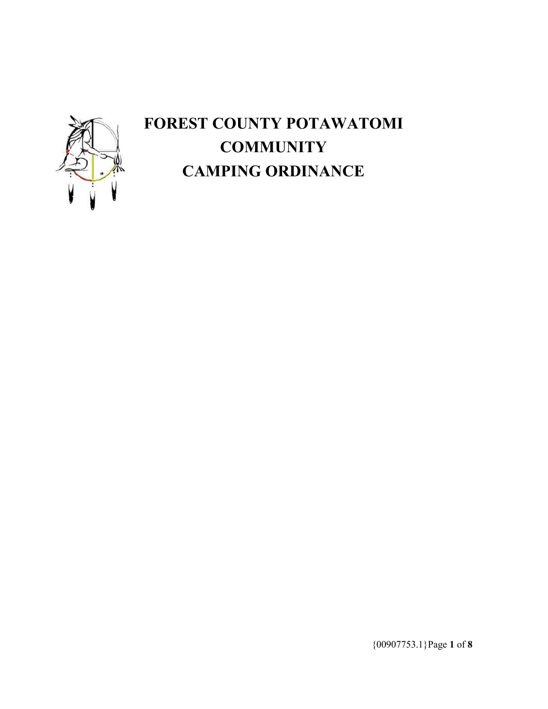

# **FOREST COUNTY POTAWATOMI COMMUNITY CAMPING ORDINANCE**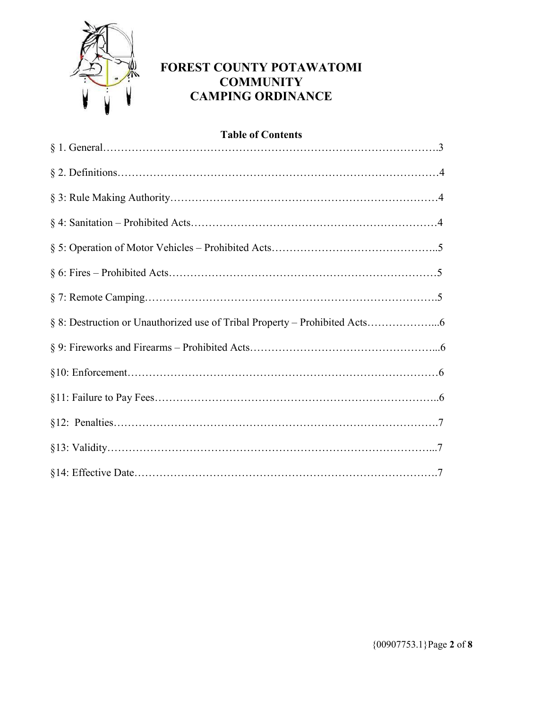

# **FOREST COUNTY POTAWATOMI COMMUNITY CAMPING ORDINANCE**

| <b>Table of Contents</b> |
|--------------------------|
|                          |
|                          |
|                          |
|                          |
|                          |
|                          |
|                          |
|                          |
|                          |
|                          |
|                          |
|                          |
|                          |
|                          |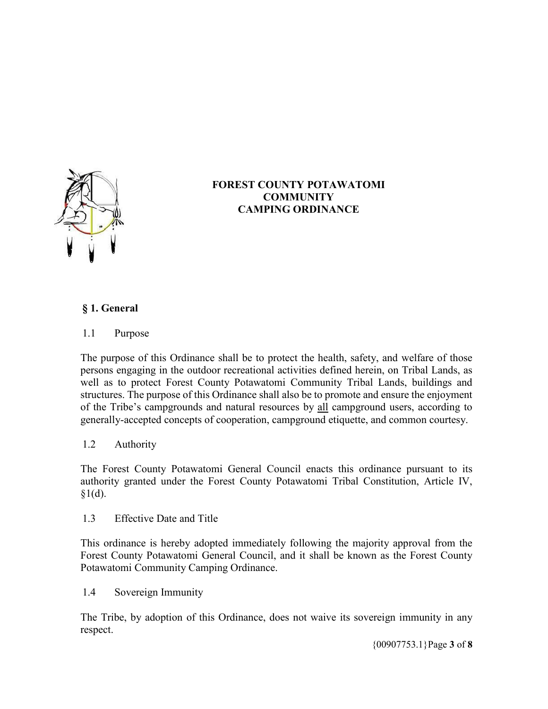

# **FOREST COUNTY POTAWATOMI COMMUNITY CAMPING ORDINANCE**

# **§ 1. General**

#### 1.1 Purpose

The purpose of this Ordinance shall be to protect the health, safety, and welfare of those persons engaging in the outdoor recreational activities defined herein, on Tribal Lands, as well as to protect Forest County Potawatomi Community Tribal Lands, buildings and structures. The purpose of this Ordinance shall also be to promote and ensure the enjoyment of the Tribe's campgrounds and natural resources by all campground users, according to generally-accepted concepts of cooperation, campground etiquette, and common courtesy.

## 1.2 Authority

The Forest County Potawatomi General Council enacts this ordinance pursuant to its authority granted under the Forest County Potawatomi Tribal Constitution, Article IV,  $$1(d).$ 

#### 1.3 Effective Date and Title

This ordinance is hereby adopted immediately following the majority approval from the Forest County Potawatomi General Council, and it shall be known as the Forest County Potawatomi Community Camping Ordinance.

#### 1.4 Sovereign Immunity

The Tribe, by adoption of this Ordinance, does not waive its sovereign immunity in any respect.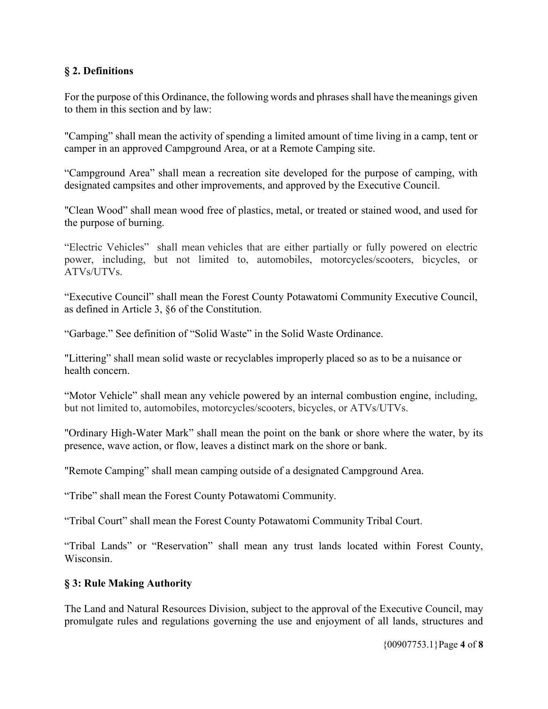## **§ 2. Definitions**

For the purpose of this Ordinance, the following words and phrases shall have the meanings given to them in this section and by law:

"Camping" shall mean the activity of spending a limited amount of time living in a camp, tent or camper in an approved Campground Area, or at a Remote Camping site.

"Campground Area" shall mean a recreation site developed for the purpose of camping, with designated campsites and other improvements, and approved by the Executive Council.

"Clean Wood" shall mean wood free of plastics, metal, or treated or stained wood, and used for the purpose of burning.

"Electric Vehicles" shall mean vehicles that are either partially or fully powered on electric power, including, but not limited to, automobiles, motorcycles/scooters, bicycles, or ATVs/UTVs.

"Executive Council" shall mean the Forest County Potawatomi Community Executive Council, as defined in Article 3, §6 of the Constitution.

"Garbage." See definition of "Solid Waste" in the Solid Waste Ordinance.

"Littering" shall mean solid waste or recyclables improperly placed so as to be a nuisance or health concern.

"Motor Vehicle" shall mean any vehicle powered by an internal combustion engine, including, but not limited to, automobiles, motorcycles/scooters, bicycles, or ATVs/UTVs.

"Ordinary High-Water Mark" shall mean the point on the bank or shore where the water, by its presence, wave action, or flow, leaves a distinct mark on the shore or bank.

"Remote Camping" shall mean camping outside of a designated Campground Area.

"Tribe" shall mean the Forest County Potawatomi Community.

"Tribal Court" shall mean the Forest County Potawatomi Community Tribal Court.

"Tribal Lands" or "Reservation" shall mean any trust lands located within Forest County, Wisconsin.

#### **§ 3: Rule Making Authority**

The Land and Natural Resources Division, subject to the approval of the Executive Council, may promulgate rules and regulations governing the use and enjoyment of all lands, structures and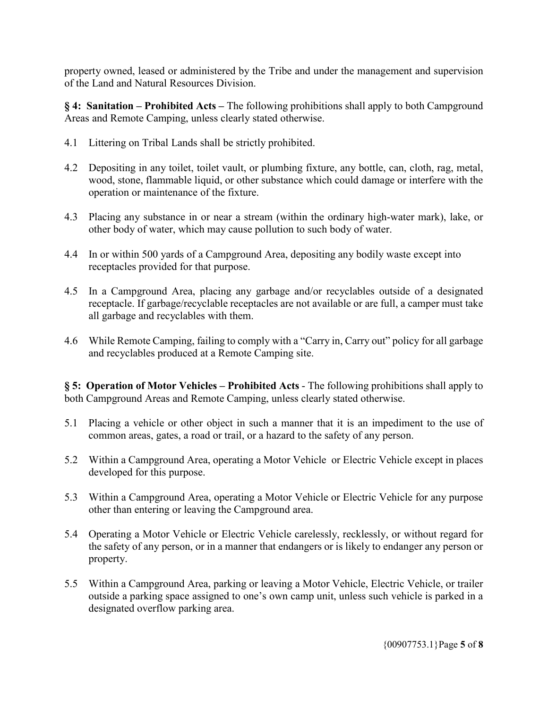property owned, leased or administered by the Tribe and under the management and supervision of the Land and Natural Resources Division.

**§ 4: Sanitation – Prohibited Acts –** The following prohibitions shall apply to both Campground Areas and Remote Camping, unless clearly stated otherwise.

- 4.1 Littering on Tribal Lands shall be strictly prohibited.
- 4.2 Depositing in any toilet, toilet vault, or plumbing fixture, any bottle, can, cloth, rag, metal, wood, stone, flammable liquid, or other substance which could damage or interfere with the operation or maintenance of the fixture.
- 4.3 Placing any substance in or near a stream (within the ordinary high-water mark), lake, or other body of water, which may cause pollution to such body of water.
- 4.4 In or within 500 yards of a Campground Area, depositing any bodily waste except into receptacles provided for that purpose.
- 4.5 In a Campground Area, placing any garbage and/or recyclables outside of a designated receptacle. If garbage/recyclable receptacles are not available or are full, a camper must take all garbage and recyclables with them.
- 4.6 While Remote Camping, failing to comply with a "Carry in, Carry out" policy for all garbage and recyclables produced at a Remote Camping site.

**§ 5: Operation of Motor Vehicles – Prohibited Acts** - The following prohibitions shall apply to both Campground Areas and Remote Camping, unless clearly stated otherwise.

- 5.1 Placing a vehicle or other object in such a manner that it is an impediment to the use of common areas, gates, a road or trail, or a hazard to the safety of any person.
- 5.2 Within a Campground Area, operating a Motor Vehicle or Electric Vehicle except in places developed for this purpose.
- 5.3 Within a Campground Area, operating a Motor Vehicle or Electric Vehicle for any purpose other than entering or leaving the Campground area.
- 5.4 Operating a Motor Vehicle or Electric Vehicle carelessly, recklessly, or without regard for the safety of any person, or in a manner that endangers or is likely to endanger any person or property.
- 5.5 Within a Campground Area, parking or leaving a Motor Vehicle, Electric Vehicle, or trailer outside a parking space assigned to one's own camp unit, unless such vehicle is parked in a designated overflow parking area.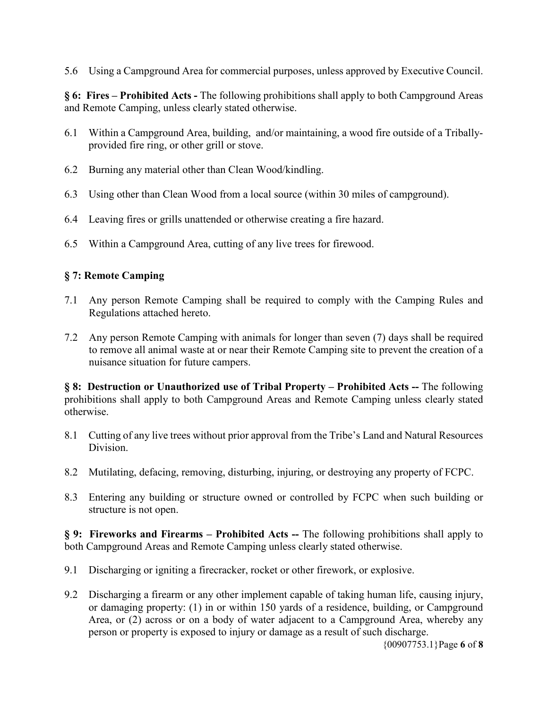5.6 Using a Campground Area for commercial purposes, unless approved by Executive Council.

**§ 6: Fires – Prohibited Acts -** The following prohibitions shall apply to both Campground Areas and Remote Camping, unless clearly stated otherwise.

- 6.1 Within a Campground Area, building, and/or maintaining, a wood fire outside of a Triballyprovided fire ring, or other grill or stove.
- 6.2 Burning any material other than Clean Wood/kindling.
- 6.3 Using other than Clean Wood from a local source (within 30 miles of campground).
- 6.4 Leaving fires or grills unattended or otherwise creating a fire hazard.
- 6.5 Within a Campground Area, cutting of any live trees for firewood.

#### **§ 7: Remote Camping**

- 7.1 Any person Remote Camping shall be required to comply with the Camping Rules and Regulations attached hereto.
- 7.2 Any person Remote Camping with animals for longer than seven (7) days shall be required to remove all animal waste at or near their Remote Camping site to prevent the creation of a nuisance situation for future campers.

**§ 8: Destruction or Unauthorized use of Tribal Property – Prohibited Acts --** The following prohibitions shall apply to both Campground Areas and Remote Camping unless clearly stated otherwise.

- 8.1 Cutting of any live trees without prior approval from the Tribe's Land and Natural Resources Division.
- 8.2 Mutilating, defacing, removing, disturbing, injuring, or destroying any property of FCPC.
- 8.3 Entering any building or structure owned or controlled by FCPC when such building or structure is not open.

**§ 9: Fireworks and Firearms – Prohibited Acts --** The following prohibitions shall apply to both Campground Areas and Remote Camping unless clearly stated otherwise.

- 9.1 Discharging or igniting a firecracker, rocket or other firework, or explosive.
- 9.2 Discharging a firearm or any other implement capable of taking human life, causing injury, or damaging property: (1) in or within 150 yards of a residence, building, or Campground Area, or (2) across or on a body of water adjacent to a Campground Area, whereby any person or property is exposed to injury or damage as a result of such discharge.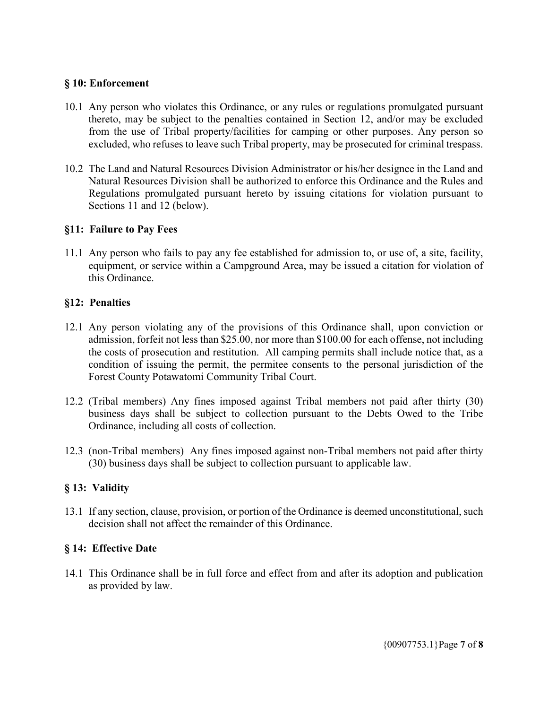#### **§ 10: Enforcement**

- 10.1 Any person who violates this Ordinance, or any rules or regulations promulgated pursuant thereto, may be subject to the penalties contained in Section 12, and/or may be excluded from the use of Tribal property/facilities for camping or other purposes. Any person so excluded, who refuses to leave such Tribal property, may be prosecuted for criminal trespass.
- 10.2 The Land and Natural Resources Division Administrator or his/her designee in the Land and Natural Resources Division shall be authorized to enforce this Ordinance and the Rules and Regulations promulgated pursuant hereto by issuing citations for violation pursuant to Sections 11 and 12 (below).

#### **§11: Failure to Pay Fees**

11.1 Any person who fails to pay any fee established for admission to, or use of, a site, facility, equipment, or service within a Campground Area, may be issued a citation for violation of this Ordinance.

#### **§12: Penalties**

- 12.1 Any person violating any of the provisions of this Ordinance shall, upon conviction or admission, forfeit not less than \$25.00, nor more than \$100.00 for each offense, not including the costs of prosecution and restitution. All camping permits shall include notice that, as a condition of issuing the permit, the permitee consents to the personal jurisdiction of the Forest County Potawatomi Community Tribal Court.
- 12.2 (Tribal members) Any fines imposed against Tribal members not paid after thirty (30) business days shall be subject to collection pursuant to the Debts Owed to the Tribe Ordinance, including all costs of collection.
- 12.3 (non-Tribal members) Any fines imposed against non-Tribal members not paid after thirty (30) business days shall be subject to collection pursuant to applicable law.

#### **§ 13: Validity**

13.1 If any section, clause, provision, or portion of the Ordinance is deemed unconstitutional, such decision shall not affect the remainder of this Ordinance.

#### **§ 14: Effective Date**

14.1 This Ordinance shall be in full force and effect from and after its adoption and publication as provided by law.